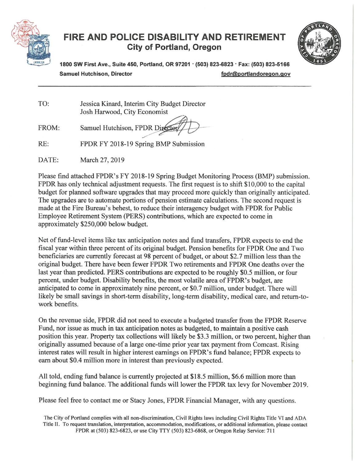

# FIRE AND POLICE DISABILITY AND RETIREMENT **City of Portland, Oregon**



1800 SW First Ave., Suite 450, Portland, OR 97201 · (503) 823-6823 · Fax: (503) 823-5166 **Samuel Hutchison, Director** fpdr@portlandoregon.gov

TO: Jessica Kinard, Interim City Budget Director Josh Harwood, City Economist

Samuel Hutchison, FPDR Director FROM:

 $RE:$ FPDR FY 2018-19 Spring BMP Submission

DATE: March 27, 2019

Please find attached FPDR's FY 2018-19 Spring Budget Monitoring Process (BMP) submission. FPDR has only technical adjustment requests. The first request is to shift \$10,000 to the capital budget for planned software upgrades that may proceed more quickly than originally anticipated. The upgrades are to automate portions of pension estimate calculations. The second request is made at the Fire Bureau's behest, to reduce their interagency budget with FPDR for Public Employee Retirement System (PERS) contributions, which are expected to come in approximately \$250,000 below budget.

Net of fund-level items like tax anticipation notes and fund transfers, FPDR expects to end the fiscal year within three percent of its original budget. Pension benefits for FPDR One and Two beneficiaries are currently forecast at 98 percent of budget, or about \$2.7 million less than the original budget. There have been fewer FPDR Two retirements and FPDR One deaths over the last year than predicted. PERS contributions are expected to be roughly \$0.5 million, or four percent, under budget. Disability benefits, the most volatile area of FPDR's budget, are anticipated to come in approximately nine percent, or \$0.7 million, under budget. There will likely be small savings in short-term disability, long-term disability, medical care, and return-towork benefits.

On the revenue side, FPDR did not need to execute a budgeted transfer from the FPDR Reserve Fund, nor issue as much in tax anticipation notes as budgeted, to maintain a positive cash position this year. Property tax collections will likely be \$3.3 million, or two percent, higher than originally assumed because of a large one-time prior year tax payment from Comcast. Rising interest rates will result in higher interest earnings on FPDR's fund balance; FPDR expects to earn about \$0.4 million more in interest than previously expected.

All told, ending fund balance is currently projected at \$18.5 million, \$6.6 million more than beginning fund balance. The additional funds will lower the FPDR tax levy for November 2019.

Please feel free to contact me or Stacy Jones, FPDR Financial Manager, with any questions.

The City of Portland complies with all non-discrimination, Civil Rights laws including Civil Rights Title VI and ADA Title II. To request translation, interpretation, accommodation, modifications, or additional information, please contact FPDR at (503) 823-6823, or use City TTY (503) 823-6868, or Oregon Relay Service: 711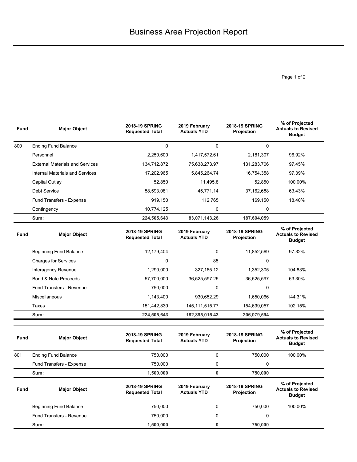Page 1 of 2

| <b>Fund</b> | <b>Major Object</b>                    | <b>2018-19 SPRING</b><br><b>Requested Total</b> | 2019 February<br><b>Actuals YTD</b> | <b>2018-19 SPRING</b><br>Projection | % of Projected<br><b>Actuals to Revised</b><br><b>Budget</b> |
|-------------|----------------------------------------|-------------------------------------------------|-------------------------------------|-------------------------------------|--------------------------------------------------------------|
| 800         | <b>Ending Fund Balance</b>             | $\Omega$                                        | 0                                   | $\Omega$                            |                                                              |
|             | Personnel                              | 2,250,600                                       | 1,417,572.61                        | 2,181,307                           | 96.92%                                                       |
|             | <b>External Materials and Services</b> | 134,712,872                                     | 75,638,273.97                       | 131,283,706                         | 97.45%                                                       |
|             | Internal Materials and Services        | 17,202,965                                      | 5,845,264.74                        | 16,754,358                          | 97.39%                                                       |
|             | Capital Outlay                         | 52,850                                          | 11,495.8                            | 52,850                              | 100.00%                                                      |
|             | <b>Debt Service</b>                    | 58,593,081                                      | 45,771.14                           | 37,162,688                          | 63.43%                                                       |
|             | Fund Transfers - Expense               | 919,150                                         | 112,765                             | 169,150                             | 18.40%                                                       |
|             | Contingency                            | 10,774,125                                      | 0                                   | $\Omega$                            |                                                              |
|             | Sum:                                   | 224,505,643                                     | 83,071,143.26                       | 187,604,059                         |                                                              |
| Fund        | <b>Major Object</b>                    | <b>2018-19 SPRING</b><br><b>Requested Total</b> | 2019 February<br><b>Actuals YTD</b> | <b>2018-19 SPRING</b><br>Projection | % of Projected<br><b>Actuals to Revised</b><br><b>Budget</b> |
|             | <b>Beginning Fund Balance</b>          | 12,179,404                                      | $\Omega$                            | 11,852,569                          | 97.32%                                                       |
|             | <b>Charges for Services</b>            | $\Omega$                                        | 85                                  | 0                                   |                                                              |
|             | <b>Interagency Revenue</b>             | 1,290,000                                       | 327,165.12                          | 1,352,305                           | 104.83%                                                      |
|             | Bond & Note Proceeds                   | 57,700,000                                      | 36,525,597.25                       | 36,525,597                          | 63.30%                                                       |
|             | <b>Fund Transfers - Revenue</b>        | 750,000                                         | 0                                   | 0                                   |                                                              |
|             | Miscellaneous                          | 1,143,400                                       | 930,652.29                          | 1,650,066                           | 144.31%                                                      |
|             | Taxes                                  | 151,442,839                                     | 145, 111, 515. 77                   | 154,699,057                         | 102.15%                                                      |
|             |                                        |                                                 |                                     |                                     |                                                              |

| <b>Fund</b> | <b>Major Object</b>           | <b>2018-19 SPRING</b><br><b>Requested Total</b> | 2019 February<br><b>Actuals YTD</b> |   | <b>2018-19 SPRING</b><br>Projection        | % of Projected<br><b>Actuals to Revised</b><br><b>Budget</b> |
|-------------|-------------------------------|-------------------------------------------------|-------------------------------------|---|--------------------------------------------|--------------------------------------------------------------|
| 801         | <b>Ending Fund Balance</b>    | 750,000                                         |                                     | 0 | 750.000                                    | 100.00%                                                      |
|             | Fund Transfers - Expense      | 750.000                                         |                                     | 0 | 0                                          |                                                              |
|             | Sum:                          | 1,500,000                                       |                                     | 0 | 750,000                                    |                                                              |
| <b>Fund</b> | <b>Major Object</b>           | <b>2018-19 SPRING</b><br><b>Requested Total</b> | 2019 February<br><b>Actuals YTD</b> |   | <b>2018-19 SPRING</b><br><b>Projection</b> | % of Projected<br><b>Actuals to Revised</b><br><b>Budget</b> |
|             | <b>Beginning Fund Balance</b> | 750,000                                         |                                     | 0 | 750,000                                    | 100.00%                                                      |
|             | Fund Transfers - Revenue      | 750.000                                         |                                     | 0 | 0                                          |                                                              |
|             |                               |                                                 |                                     |   |                                            |                                                              |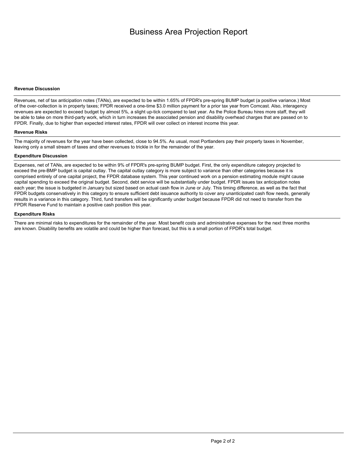## **Revenue Discussion**

Revenues, net of tax anticipation notes (TANs), are expected to be within 1.65% of FPDR's pre-spring BUMP budget (a positive variance.) Most of the over-collection is in property taxes; FPDR received a one-time \$3.0 million payment for a prior tax year from Comcast. Also, interagency revenues are expected to exceed budget by almost 5%, a slight up-tick compared to last year. As the Police Bureau hires more staff, they will be able to take on more third-party work, which in turn increases the associated pension and disability overhead charges that are passed on to FPDR. Finally, due to higher than expected interest rates, FPDR will over collect on interest income this year.

#### **Revenue Risks**

The majority of revenues for the year have been collected, close to 94.5%. As usual, most Portlanders pay their property taxes in November, leaving only a small stream of taxes and other revenues to trickle in for the remainder of the year.

### **Expenditure Discussion**

Expenses, net of TANs, are expected to be within 9% of FPDR's pre-spring BUMP budget. First, the only expenditure category projected to exceed the pre-BMP budget is capital outlay. The capital outlay category is more subject to variance than other categories because it is comprised entirely of one capital project, the FPDR database system. This year continued work on a pension estimating module might cause capital spending to exceed the original budget. Second, debt service will be substantially under budget. FPDR issues tax anticipation notes each year; the issue is budgeted in January but sized based on actual cash flow in June or July. This timing difference, as well as the fact that FPDR budgets conservatively in this category to ensure sufficient debt issuance authority to cover any unanticipated cash flow needs, generally results in a variance in this category. Third, fund transfers will be significantly under budget because FPDR did not need to transfer from the FPDR Reserve Fund to maintain a positive cash position this year.

#### **Expenditure Risks**

There are minimal risks to expenditures for the remainder of the year. Most benefit costs and administrative expenses for the next three months are known. Disability benefits are volatile and could be higher than forecast, but this is a small portion of FPDR's total budget.